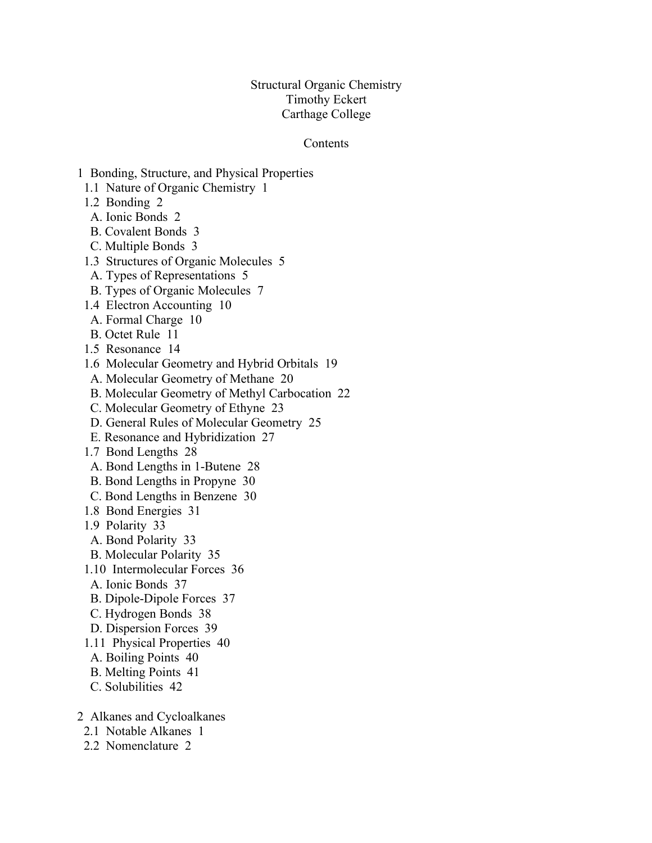## Structural Organic Chemistry Timothy Eckert Carthage College

## Contents

- 1 Bonding, Structure, and Physical Properties
- 1.1 Nature of Organic Chemistry 1
- 1.2 Bonding 2
- A. Ionic Bonds 2
- B. Covalent Bonds 3
- C. Multiple Bonds 3
- 1.3 Structures of Organic Molecules 5
- A. Types of Representations 5
- B. Types of Organic Molecules 7
- 1.4 Electron Accounting 10
- A. Formal Charge 10
- B. Octet Rule 11
- 1.5 Resonance 14
- 1.6 Molecular Geometry and Hybrid Orbitals 19
- A. Molecular Geometry of Methane 20
- B. Molecular Geometry of Methyl Carbocation 22
- C. Molecular Geometry of Ethyne 23
- D. General Rules of Molecular Geometry 25
- E. Resonance and Hybridization 27
- 1.7 Bond Lengths 28
- A. Bond Lengths in 1-Butene 28
- B. Bond Lengths in Propyne 30
- C. Bond Lengths in Benzene 30
- 1.8 Bond Energies 31
- 1.9 Polarity 33
- A. Bond Polarity 33
- B. Molecular Polarity 35
- 1.10 Intermolecular Forces 36
- A. Ionic Bonds 37
- B. Dipole-Dipole Forces 37
- C. Hydrogen Bonds 38
- D. Dispersion Forces 39
- 1.11 Physical Properties 40
- A. Boiling Points 40
- B. Melting Points 41
- C. Solubilities 42
- 2 Alkanes and Cycloalkanes
	- 2.1 Notable Alkanes 1
	- 2.2 Nomenclature 2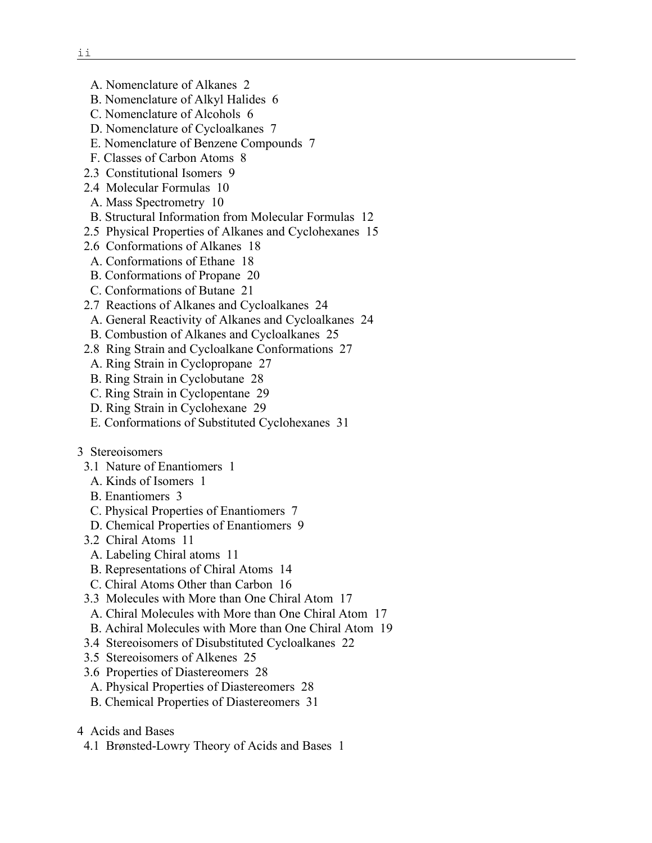- A. Nomenclature of Alkanes 2
- B. Nomenclature of Alkyl Halides 6
- C. Nomenclature of Alcohols 6
- D. Nomenclature of Cycloalkanes 7
- E. Nomenclature of Benzene Compounds 7
- F. Classes of Carbon Atoms 8
- 2.3 Constitutional Isomers 9
- 2.4 Molecular Formulas 10
- A. Mass Spectrometry 10
- B. Structural Information from Molecular Formulas 12
- 2.5 Physical Properties of Alkanes and Cyclohexanes 15
- 2.6 Conformations of Alkanes 18
- A. Conformations of Ethane 18
- B. Conformations of Propane 20
- C. Conformations of Butane 21
- 2.7 Reactions of Alkanes and Cycloalkanes 24
- A. General Reactivity of Alkanes and Cycloalkanes 24
- B. Combustion of Alkanes and Cycloalkanes 25
- 2.8 Ring Strain and Cycloalkane Conformations 27
- A. Ring Strain in Cyclopropane 27
- B. Ring Strain in Cyclobutane 28
- C. Ring Strain in Cyclopentane 29
- D. Ring Strain in Cyclohexane 29
- E. Conformations of Substituted Cyclohexanes 31
- 3 Stereoisomers
	- 3.1 Nature of Enantiomers 1
	- A. Kinds of Isomers 1
	- B. Enantiomers 3
	- C. Physical Properties of Enantiomers 7
	- D. Chemical Properties of Enantiomers 9
	- 3.2 Chiral Atoms 11
	- A. Labeling Chiral atoms 11
	- B. Representations of Chiral Atoms 14
	- C. Chiral Atoms Other than Carbon 16
	- 3.3 Molecules with More than One Chiral Atom 17
	- A. Chiral Molecules with More than One Chiral Atom 17
	- B. Achiral Molecules with More than One Chiral Atom 19
	- 3.4 Stereoisomers of Disubstituted Cycloalkanes 22
	- 3.5 Stereoisomers of Alkenes 25
	- 3.6 Properties of Diastereomers 28
	- A. Physical Properties of Diastereomers 28
	- B. Chemical Properties of Diastereomers 31
- 4 Acids and Bases
- 4.1 Brønsted-Lowry Theory of Acids and Bases 1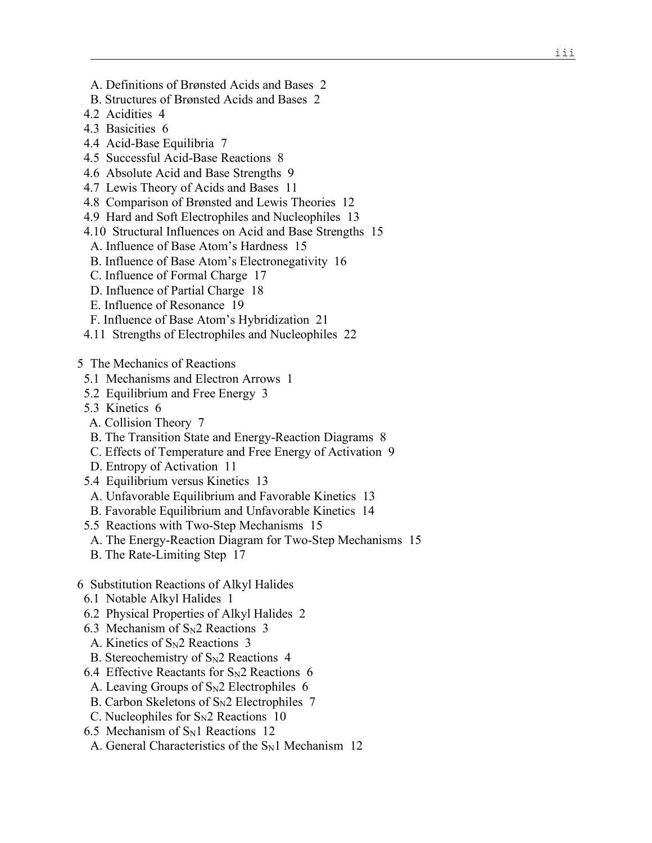- A. Definitions of Brønsted Acids and Bases 2
- B. Structures of Brønsted Acids and Bases 2
- 4.2 Acidities 4
- 4.3 Basicities 6
- 4.4 Acid-Base Equilibria 7
- 4.5 Successful Acid-Base Reactions 8
- 4.6 Absolute Acid and Base Strengths 9
- 4.7 Lewis Theory of Acids and Bases 11
- 4.8 Comparison of Brønsted and Lewis Theories 12
- 4.9 Hard and Soft Electrophiles and Nucleophiles 13
- 4.10 Structural Influences on Acid and Base Strengths 15
- A. Influence of Base Atom's Hardness 15
- B. Influence of Base Atom's Electronegativity 16
- C. Influence of Formal Charge 17
- D. Influence of Partial Charge 18
- E. Influence of Resonance 19
- F. Influence of Base Atom's Hybridization 21
- 4.11 Strengths of Electrophiles and Nucleophiles 22
- 5 The Mechanics of Reactions
	- 5.1 Mechanisms and Electron Arrows 1
	- 5.2 Equilibrium and Free Energy 3
	- 5.3 Kinetics 6
	- A. Collision Theory 7
	- B. The Transition State and Energy-Reaction Diagrams 8
	- C. Effects of Temperature and Free Energy of Activation 9
	- D. Entropy of Activation 11
	- 5.4 Equilibrium versus Kinetics 13
	- A. Unfavorable Equilibrium and Favorable Kinetics 13
	- B. Favorable Equilibrium and Unfavorable Kinetics 14
	- 5.5 Reactions with Two-Step Mechanisms 15
	- A. The Energy-Reaction Diagram for Two-Step Mechanisms 15
	- B. The Rate-Limiting Step 17
- 6 Substitution Reactions of Alkyl Halides
	- 6.1 Notable Alkyl Halides 1
	- 6.2 Physical Properties of Alkyl Halides 2
	- 6.3 Mechanism of  $S_N2$  Reactions 3
	- A. Kinetics of  $S_N2$  Reactions 3
	- B. Stereochemistry of  $S_N2$  Reactions 4
	- 6.4 Effective Reactants for  $S_N$ 2 Reactions 6
	- A. Leaving Groups of  $S_N2$  Electrophiles 6
	- B. Carbon Skeletons of  $S_N2$  Electrophiles 7
	- C. Nucleophiles for  $S_N2$  Reactions 10
	- 6.5 Mechanism of  $S_N1$  Reactions 12
	- A. General Characteristics of the  $S_N1$  Mechanism 12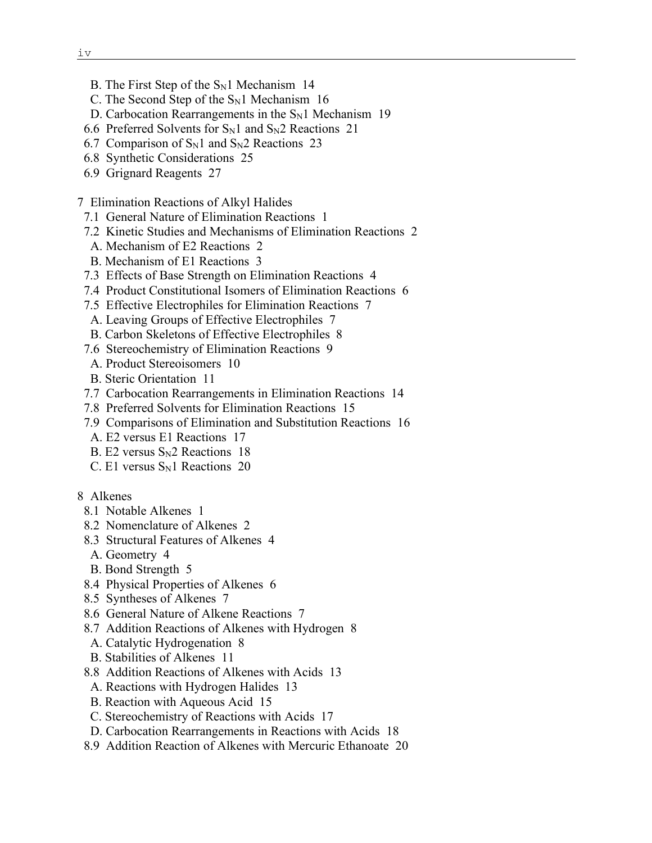- B. The First Step of the  $S_N1$  Mechanism 14
- C. The Second Step of the  $S_N1$  Mechanism 16
- D. Carbocation Rearrangements in the  $S<sub>N</sub>1$  Mechanism 19
- 6.6 Preferred Solvents for  $S_N1$  and  $S_N2$  Reactions 21
- 6.7 Comparison of  $S_N1$  and  $S_N2$  Reactions 23
- 6.8 Synthetic Considerations 25
- 6.9 Grignard Reagents 27
- 7 Elimination Reactions of Alkyl Halides
	- 7.1 General Nature of Elimination Reactions 1
	- 7.2 Kinetic Studies and Mechanisms of Elimination Reactions 2
	- A. Mechanism of E2 Reactions 2
	- B. Mechanism of E1 Reactions 3
- 7.3 Effects of Base Strength on Elimination Reactions 4
- 7.4 Product Constitutional Isomers of Elimination Reactions 6
- 7.5 Effective Electrophiles for Elimination Reactions 7
- A. Leaving Groups of Effective Electrophiles 7
- B. Carbon Skeletons of Effective Electrophiles 8
- 7.6 Stereochemistry of Elimination Reactions 9
- A. Product Stereoisomers 10
- B. Steric Orientation 11
- 7.7 Carbocation Rearrangements in Elimination Reactions 14
- 7.8 Preferred Solvents for Elimination Reactions 15
- 7.9 Comparisons of Elimination and Substitution Reactions 16
- A. E2 versus E1 Reactions 17
- B. E2 versus  $S_N2$  Reactions 18
- $C.$  E1 versus  $S<sub>N</sub>1$  Reactions 20
- 8 Alkenes
	- 8.1 Notable Alkenes 1
	- 8.2 Nomenclature of Alkenes 2
	- 8.3 Structural Features of Alkenes 4
	- A. Geometry 4
	- B. Bond Strength 5
	- 8.4 Physical Properties of Alkenes 6
	- 8.5 Syntheses of Alkenes 7
	- 8.6 General Nature of Alkene Reactions 7
	- 8.7 Addition Reactions of Alkenes with Hydrogen 8
	- A. Catalytic Hydrogenation 8
	- B. Stabilities of Alkenes 11
	- 8.8 Addition Reactions of Alkenes with Acids 13
	- A. Reactions with Hydrogen Halides 13
	- B. Reaction with Aqueous Acid 15
	- C. Stereochemistry of Reactions with Acids 17
	- D. Carbocation Rearrangements in Reactions with Acids 18
	- 8.9 Addition Reaction of Alkenes with Mercuric Ethanoate 20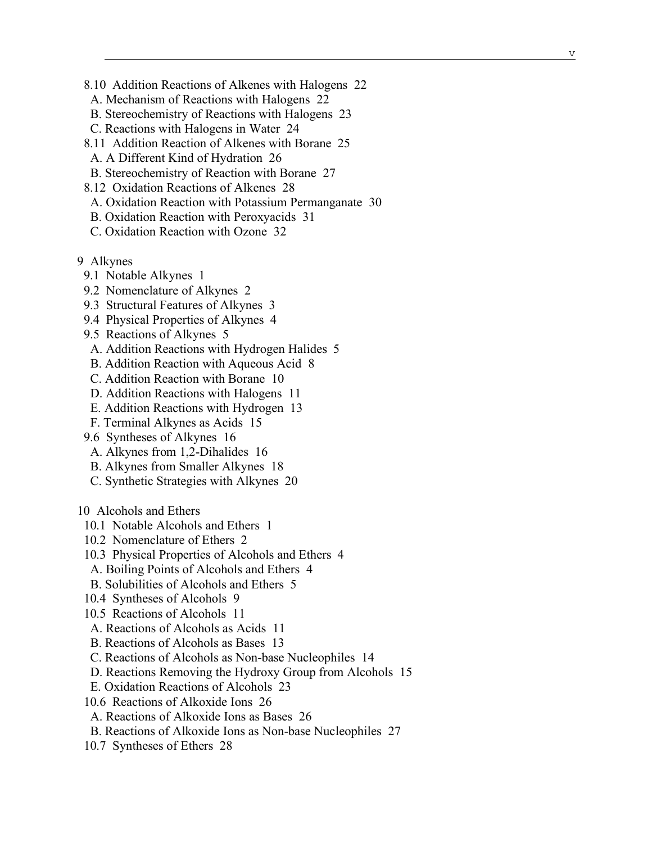- 8.10 Addition Reactions of Alkenes with Halogens 22
- A. Mechanism of Reactions with Halogens 22
- B. Stereochemistry of Reactions with Halogens 23
- C. Reactions with Halogens in Water 24
- 8.11 Addition Reaction of Alkenes with Borane 25
- A. A Different Kind of Hydration 26
- B. Stereochemistry of Reaction with Borane 27
- 8.12 Oxidation Reactions of Alkenes 28
- A. Oxidation Reaction with Potassium Permanganate 30
- B. Oxidation Reaction with Peroxyacids 31
- C. Oxidation Reaction with Ozone 32
- 9 Alkynes
- 9.1 Notable Alkynes 1
- 9.2 Nomenclature of Alkynes 2
- 9.3 Structural Features of Alkynes 3
- 9.4 Physical Properties of Alkynes 4
- 9.5 Reactions of Alkynes 5
- A. Addition Reactions with Hydrogen Halides 5
- B. Addition Reaction with Aqueous Acid 8
- C. Addition Reaction with Borane 10
- D. Addition Reactions with Halogens 11
- E. Addition Reactions with Hydrogen 13
- F. Terminal Alkynes as Acids 15
- 9.6 Syntheses of Alkynes 16
- A. Alkynes from 1,2 -Dihalides 16
- B. Alkynes from Smaller Alkynes 18
- C. Synthetic Strategies with Alkynes 20
- 10 Alcohols and Ethers
- 10.1 Notable Alcohols and Ethers 1
- 10.2 Nomenclature of Ethers 2
- 10.3 Physical Properties of Alcohols and Ethers 4
- A. Boiling Points of Alcohols and Ethers 4
- B. Solubilities of Alcohols and Ethers 5
- 10.4 Syntheses of Alcohols 9
- 10.5 Reactions of Alcohols 1 1
	- A. Reactions of Alcohols as Acids 11
	- B. Reactions of Alcohols as Bases 13
- C. Reactions of Alcohols as Non -base Nucleophiles 14
	- D. Reactions Removing the Hydroxy Group from Alcohols 15
	- E. Oxidation Reactions of Alcohols 23
	- 10.6 Reactions of Alkoxide Ions 26
	- A. Reactions of Alkoxide Ions as Bases 26
- B. Reactions of Alkoxide Ions as Non -base Nucleophiles 27
	- 10.7 Syntheses of Ethers 28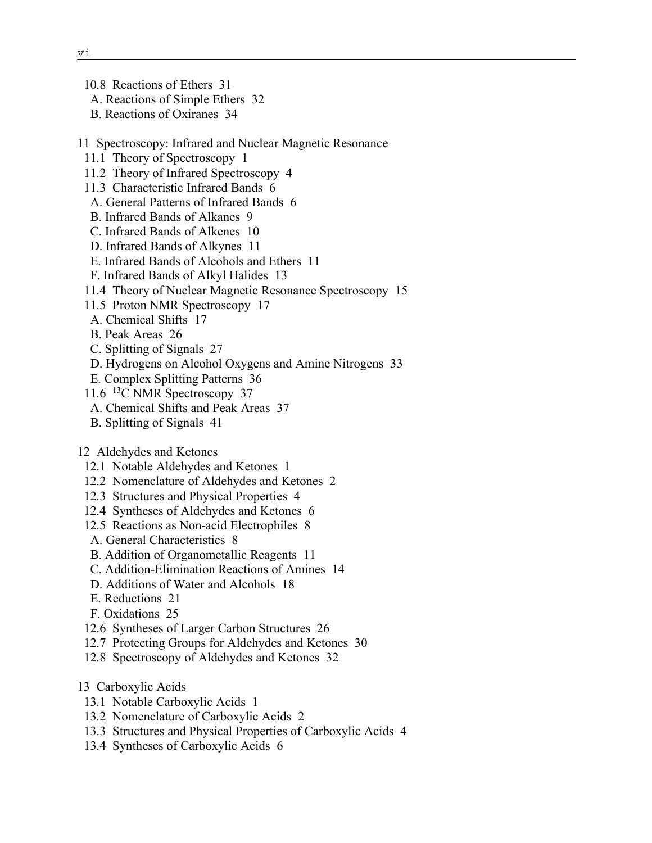10.8 Reactions of Ethers 31

A. Reactions of Simple Ethers 32

- B. Reactions of Oxiranes 34
- 11 Spectroscopy: Infrared and Nuclear Magnetic Resonance
	- 11.1 Theory of Spectroscopy 1
- 11.2 Theory of Infrared Spectroscopy 4
- 11.3 Characteristic Infrared Bands 6
- A. General Patterns of Infrared Bands 6
- B. Infrared Bands of Alkanes 9
- C. Infrared Bands of Alkenes 10
- D. Infrared Bands of Alkynes 11
- E. Infrared Bands of Alcohols and Ethers 11
- F. Infrared Bands of Alkyl Halides 13
- 11.4 Theory of Nuclear Magnetic Resonance Spectroscopy 15
- 11.5 Proton NMR Spectroscopy 17
- A. Chemical Shifts 17
- B. Peak Areas 26
- C. Splitting of Signals 27
- D. Hydrogens on Alcohol Oxygens and Amine Nitrogens 33
- E. Complex Splitting Patterns 36
- 11.6 13C NMR Spectroscopy 37
- A. Chemical Shifts and Peak Areas 37
- B. Splitting of Signals 41

## 12 Aldehydes and Ketones

- 12.1 Notable Aldehydes and Ketones 1
- 12.2 Nomenclature of Aldehydes and Ketones 2
- 12.3 Structures and Physical Properties 4
- 12.4 Syntheses of Aldehydes and Ketones 6
- 12.5 Reactions as Non-acid Electrophiles 8
- A. General Characteristics 8
- B. Addition of Organometallic Reagents 11
- C. Addition-Elimination Reactions of Amines 14
- D. Additions of Water and Alcohols 18
- E. Reductions 21
- F. Oxidations 25
- 12.6 Syntheses of Larger Carbon Structures 26
- 12.7 Protecting Groups for Aldehydes and Ketones 30
- 12.8 Spectroscopy of Aldehydes and Ketones 32
- 13 Carboxylic Acids
- 13.1 Notable Carboxylic Acids 1
- 13.2 Nomenclature of Carboxylic Acids 2
- 13.3 Structures and Physical Properties of Carboxylic Acids 4
- 13.4 Syntheses of Carboxylic Acids 6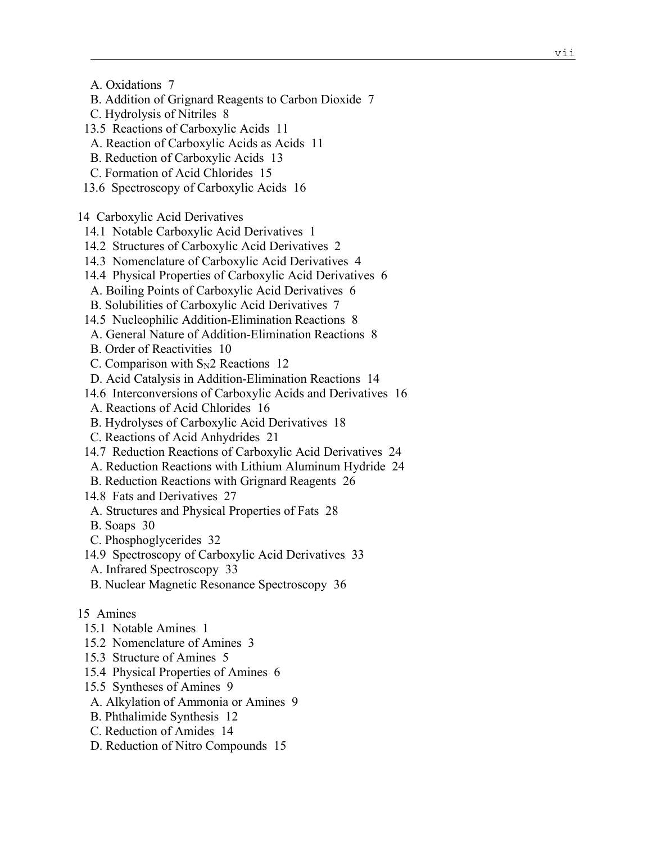- A. Oxidations 7
- B. Addition of Grignard Reagents to Carbon Dioxide 7
- C. Hydrolysis of Nitriles 8
- 13.5 Reactions of Carboxylic Acids 11
- A. Reaction of Carboxylic Acids as Acids 11
- B. Reduction of Carboxylic Acids 13
- C. Formation of Acid Chlorides 15
- 13.6 Spectroscopy of Carboxylic Acids 16

14 Carboxylic Acid Derivatives

- 14.1 Notable Carboxylic Acid Derivatives 1
- 14.2 Structures of Carboxylic Acid Derivatives 2
- 14.3 Nomenclature of Carboxylic Acid Derivatives 4
- 14.4 Physical Properties of Carboxylic Acid Derivatives 6
- A. Boiling Points of Carboxylic Acid Derivatives 6
- B. Solubilities of Carboxylic Acid Derivatives 7
- 14.5 Nucleophilic Addition-Elimination Reactions 8
- A. General Nature of Addition-Elimination Reactions 8
- B. Order of Reactivities 10
- C. Comparison with  $S_N2$  Reactions 12
- D. Acid Catalysis in Addition-Elimination Reactions 14
- 14.6 Interconversions of Carboxylic Acids and Derivatives 16
- A. Reactions of Acid Chlorides 16
- B. Hydrolyses of Carboxylic Acid Derivatives 18
- C. Reactions of Acid Anhydrides 21
- 14.7 Reduction Reactions of Carboxylic Acid Derivatives 24
- A. Reduction Reactions with Lithium Aluminum Hydride 24
- B. Reduction Reactions with Grignard Reagents 26
- 14.8 Fats and Derivatives 27
- A. Structures and Physical Properties of Fats 28
- B. Soaps 30
- C. Phosphoglycerides 32
- 14.9 Spectroscopy of Carboxylic Acid Derivatives 33
- A. Infrared Spectroscopy 33
- B. Nuclear Magnetic Resonance Spectroscopy 36
- 15 Amines
- 15.1 Notable Amines 1
- 15.2 Nomenclature of Amines 3
- 15.3 Structure of Amines 5
- 15.4 Physical Properties of Amines 6
- 15.5 Syntheses of Amines 9
- A. Alkylation of Ammonia or Amines 9
- B. Phthalimide Synthesis 12
- C. Reduction of Amides 14
- D. Reduction of Nitro Compounds 15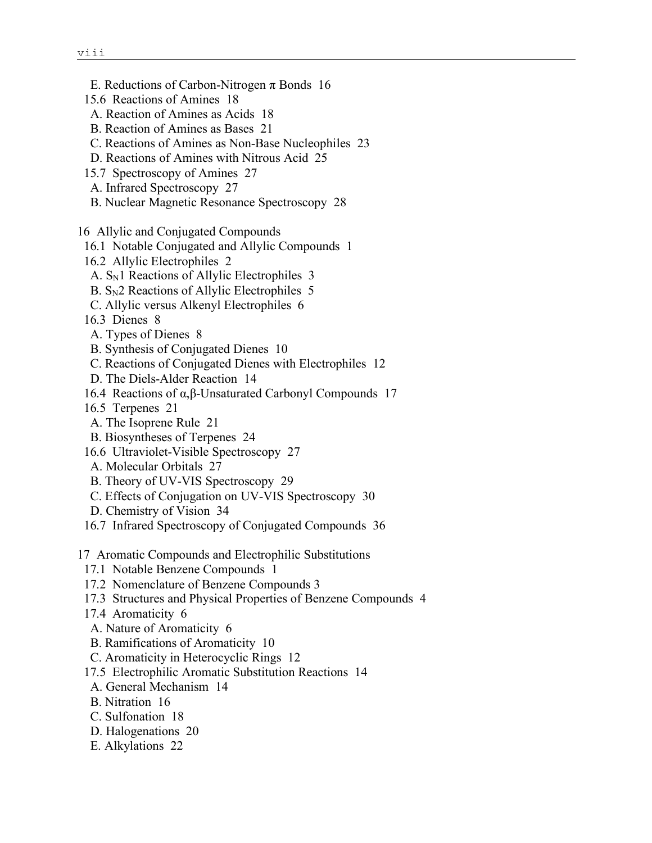- E. Reductions of Carbon-Nitrogen  $\pi$  Bonds 16
- 15.6 Reactions of Amines 18
- A. Reaction of Amines as Acids 18
- B. Reaction of Amines as Bases 21
- C. Reactions of Amines as Non-Base Nucleophiles 23
- D. Reactions of Amines with Nitrous Acid 25
- 15.7 Spectroscopy of Amines 27
- A. Infrared Spectroscopy 27
- B. Nuclear Magnetic Resonance Spectroscopy 28
- 16 Allylic and Conjugated Compounds
- 16.1 Notable Conjugated and Allylic Compounds 1
- 16.2 Allylic Electrophiles 2
- A. S<sub>N</sub>1 Reactions of Allylic Electrophiles 3
- B.  $S_N2$  Reactions of Allylic Electrophiles 5
- C. Allylic versus Alkenyl Electrophiles 6
- 16.3 Dienes 8
- A. Types of Dienes 8
- B. Synthesis of Conjugated Dienes 10
- C. Reactions of Conjugated Dienes with Electrophiles 12
- D. The Diels-Alder Reaction 14
- 16.4 Reactions of α,β-Unsaturated Carbonyl Compounds 17
- 16.5 Terpenes 21
- A. The Isoprene Rule 21
- B. Biosyntheses of Terpenes 24
- 16.6 Ultraviolet-Visible Spectroscopy 27
- A. Molecular Orbitals 27
- B. Theory of UV-VIS Spectroscopy 29
- C. Effects of Conjugation on UV-VIS Spectroscopy 30
- D. Chemistry of Vision 34
- 16.7 Infrared Spectroscopy of Conjugated Compounds 36
- 17 Aromatic Compounds and Electrophilic Substitutions
	- 17.1 Notable Benzene Compounds 1
	- 17.2 Nomenclature of Benzene Compounds 3
	- 17.3 Structures and Physical Properties of Benzene Compounds 4
	- 17.4 Aromaticity 6
	- A. Nature of Aromaticity 6
	- B. Ramifications of Aromaticity 10
	- C. Aromaticity in Heterocyclic Rings 12
	- 17.5 Electrophilic Aromatic Substitution Reactions 14
	- A. General Mechanism 14
	- B. Nitration 16
	- C. Sulfonation 18
	- D. Halogenations 20
	- E. Alkylations 22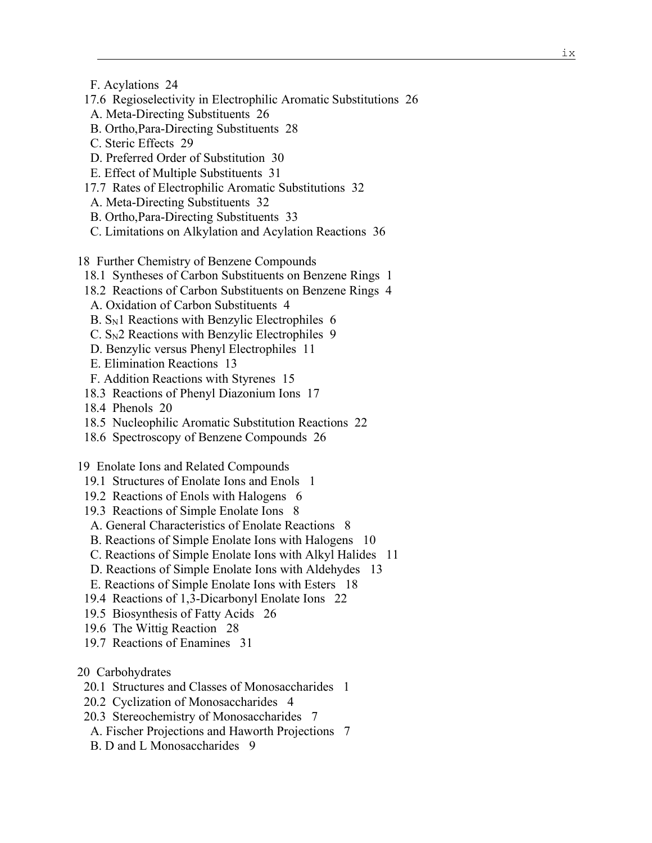F. Acylations 24

- 17.6 Regioselectivity in Electrophilic Aromatic Substitutions 26
- A. Meta-Directing Substituents 26
- B. Ortho,Para-Directing Substituents 28
- C. Steric Effects 29
- D. Preferred Order of Substitution 30
- E. Effect of Multiple Substituents 31
- 17.7 Rates of Electrophilic Aromatic Substitutions 32
- A. Meta-Directing Substituents 32
- B. Ortho,Para-Directing Substituents 33
- C. Limitations on Alkylation and Acylation Reactions 36
- 18 Further Chemistry of Benzene Compounds
- 18.1 Syntheses of Carbon Substituents on Benzene Rings 1
- 18.2 Reactions of Carbon Substituents on Benzene Rings 4
- A. Oxidation of Carbon Substituents 4
- $B. S<sub>N</sub>1$  Reactions with Benzylic Electrophiles 6
- $C. S<sub>N</sub>2$  Reactions with Benzylic Electrophiles 9
- D. Benzylic versus Phenyl Electrophiles 11
- E. Elimination Reactions 13
- F. Addition Reactions with Styrenes 15
- 18.3 Reactions of Phenyl Diazonium Ions 17
- 18.4 Phenols 20
- 18.5 Nucleophilic Aromatic Substitution Reactions 22
- 18.6 Spectroscopy of Benzene Compounds 26

19 Enolate Ions and Related Compounds

- 19.1 Structures of Enolate Ions and Enols 1
- 19.2 Reactions of Enols with Halogens 6
- 19.3 Reactions of Simple Enolate Ions 8
- A. General Characteristics of Enolate Reactions 8
- B. Reactions of Simple Enolate Ions with Halogens 10
- C. Reactions of Simple Enolate Ions with Alkyl Halides 11
- D. Reactions of Simple Enolate Ions with Aldehydes 13
- E. Reactions of Simple Enolate Ions with Esters 18
- 19.4 Reactions of 1,3-Dicarbonyl Enolate Ions 22
- 19.5 Biosynthesis of Fatty Acids 26
- 19.6 The Wittig Reaction 28
- 19.7 Reactions of Enamines 31
- 20 Carbohydrates
	- 20.1 Structures and Classes of Monosaccharides 1
	- 20.2 Cyclization of Monosaccharides 4
	- 20.3 Stereochemistry of Monosaccharides 7
	- A. Fischer Projections and Haworth Projections 7
	- B. D and L Monosaccharides 9